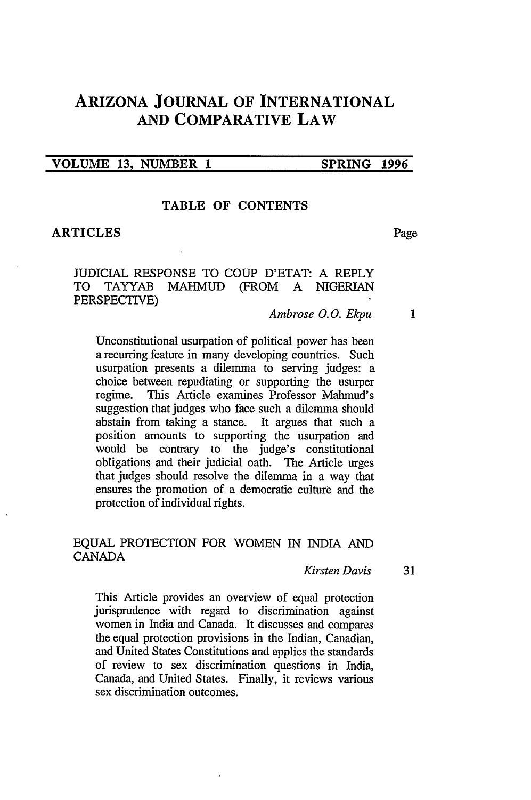# **ARIZONA JOURNAL OF INTERNATIONAL AND COMPARATIVE LAW**

#### **VOLUME 13, NUMBER 1 SPRING 1996**

### **TABLE OF CONTENTS**

#### **ARTICLES** Page

**JUDICIAL RESPONSE** TO **COUP D'ETAT: A** REPLY TO TAYYAB MAHMUD (FROM A NIGERIAN PERSPECTIVE)

#### *Ambrose 0.0. Ekpu*  $\mathbf{1}$

Unconstitutional usurpation of political power has been a recurring feature in many developing countries. Such usurpation presents a dilemma to serving judges: a choice between repudiating or supporting the usurper regime. This Article examines Professor Mahmud's suggestion that judges who face such a dilemma should abstain from taking a stance. It argues that such a position amounts to supporting the usurpation and would be contrary to the judge's constitutional obligations and their judicial oath. The Article urges that judges should resolve the dilemma in a way that ensures the promotion of a democratic culture and the protection of individual rights.

# EQUAL PROTECTION FOR WOMEN IN INDIA AND CANADA

#### *Kirsten Davis* 31

This Article provides an overview of equal protection jurisprudence with regard to discrimination against women in India and Canada. It discusses and compares the equal protection provisions in the Indian, Canadian, and United States Constitutions and applies the standards of review to sex discrimination questions in India, Canada, and United States. Finally, it reviews various sex discrimination outcomes.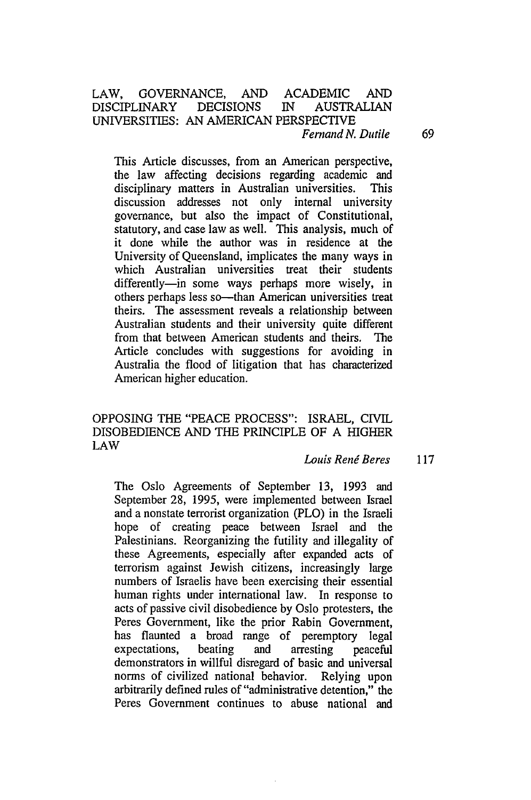#### LAW, GOVERNANCE, AND ACADEMIC AND DISCIPLINARY DECISIONS IN AUSTRALIAN UNIVERSITIES: AN AMERICAN PERSPECTIVE *Fernand N. Dutile* 69

This Article discusses, from an American perspective, the law affecting decisions regarding academic and disciplinary matters in Australian universities. This discussion addresses not only internal university governance, but also the impact of Constitutional, statutory, and case law as well. This analysis, much of it done while the author was in residence at the University of Queensland, implicates the many ways in which Australian universities treat their students differently-in some ways perhaps more wisely, in others perhaps less so-than American universities treat theirs. The assessment reveals a relationship between Australian students and their university quite different from that between American students and theirs. The Article concludes with suggestions for avoiding in Australia the flood of litigation that has characterized American higher education.

# OPPOSING THE "PEACE PROCESS": ISRAEL, CIVIL DISOBEDIENCE AND THE PRINCIPLE OF A HIGHER LAW

#### *Louis Renj Beres* <sup>117</sup>

The Oslo Agreements of September 13, 1993 and September 28, 1995, were implemented between Israel and a nonstate terrorist organization (PLO) in the Israeli hope of creating peace between Israel and the Palestinians. Reorganizing the futility and illegality of these Agreements, especially after expanded acts of terrorism against Jewish citizens, increasingly large numbers of Israelis have been exercising their essential human rights under international law. In response to acts of passive civil disobedience by Oslo protesters, the Peres Government, like the prior Rabin Government, has flaunted a broad range of peremptory legal expectations, beating and arresting peaceful demonstrators in willful disregard of basic and universal norms of civilized national behavior. Relying upon arbitrarily defined rules of "administrative detention," the Peres Government continues to abuse national and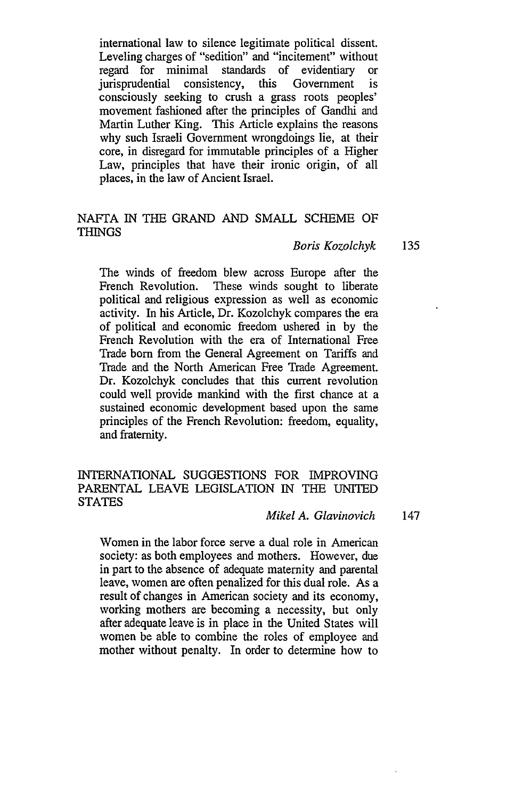international law to silence legitimate political dissent. Leveling charges of "sedition" and "incitement" without regard for minimal standards of evidentiary or jurisprudential consistency, this Government is consciously seeking to crush a grass roots peoples' movement fashioned after the principles of Gandhi and Martin Luther King. This Article explains the reasons why such Israeli Government wrongdoings lie, at their core, in disregard for immutable principles of a Higher Law, principles that have their ironic origin, of all places, in the law of Ancient Israel.

# NAFTA IN THE GRAND AND SMALL SCHEME OF THINGS

#### *Boris Kozolchyk* 135

The winds of freedom blew across Europe after the French Revolution. These winds sought to liberate political and religious expression as well as economic activity. In his Article, Dr. Kozolchyk compares the em of political and economic freedom ushered in by the French Revolution with the era of International Free Trade born from the General Agreement on Tariffs and Trade and the North American Free Trade Agreement. Dr. Kozolchyk concludes that this current revolution could well provide mankind with the first chance at a sustained economic development based upon the same principles of the French Revolution: freedom, equality, and fraternity.

# INTERNATIONAL SUGGESTIONS FOR IMPROVING PARENTAL LEAVE LEGISLATION IN THE UNITED **STATES**

# *Mikel A. Glavinovich* 147

Women in the labor force serve a dual role in American society: as both employees and mothers. However, due in part to the absence of adequate maternity and parental leave, women are often penalized for this dual role. As a result of changes in American society and its economy, working mothers are becoming a necessity, but only after adequate leave is in place in the United States will women be able to combine the roles of employee and mother without penalty. In order to determine how to